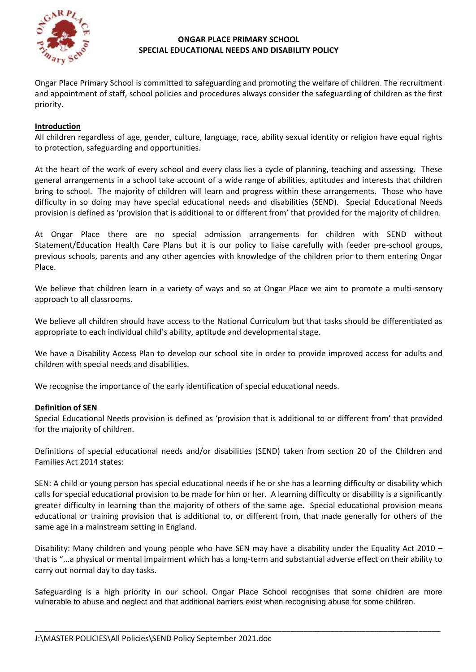

### **ONGAR PLACE PRIMARY SCHOOL SPECIAL EDUCATIONAL NEEDS AND DISABILITY POLICY**

Ongar Place Primary School is committed to safeguarding and promoting the welfare of children. The recruitment and appointment of staff, school policies and procedures always consider the safeguarding of children as the first priority.

## **Introduction**

All children regardless of age, gender, culture, language, race, ability sexual identity or religion have equal rights to protection, safeguarding and opportunities.

At the heart of the work of every school and every class lies a cycle of planning, teaching and assessing. These general arrangements in a school take account of a wide range of abilities, aptitudes and interests that children bring to school. The majority of children will learn and progress within these arrangements. Those who have difficulty in so doing may have special educational needs and disabilities (SEND). Special Educational Needs provision is defined as 'provision that is additional to or different from' that provided for the majority of children.

At Ongar Place there are no special admission arrangements for children with SEND without Statement/Education Health Care Plans but it is our policy to liaise carefully with feeder pre-school groups, previous schools, parents and any other agencies with knowledge of the children prior to them entering Ongar Place.

We believe that children learn in a variety of ways and so at Ongar Place we aim to promote a multi-sensory approach to all classrooms.

We believe all children should have access to the National Curriculum but that tasks should be differentiated as appropriate to each individual child's ability, aptitude and developmental stage.

We have a Disability Access Plan to develop our school site in order to provide improved access for adults and children with special needs and disabilities.

We recognise the importance of the early identification of special educational needs.

### **Definition of SEN**

Special Educational Needs provision is defined as 'provision that is additional to or different from' that provided for the majority of children.

Definitions of special educational needs and/or disabilities (SEND) taken from section 20 of the Children and Families Act 2014 states:

SEN: A child or young person has special educational needs if he or she has a learning difficulty or disability which calls for special educational provision to be made for him or her. A learning difficulty or disability is a significantly greater difficulty in learning than the majority of others of the same age. Special educational provision means educational or training provision that is additional to, or different from, that made generally for others of the same age in a mainstream setting in England.

Disability: Many children and young people who have SEN may have a disability under the Equality Act 2010 – that is "...a physical or mental impairment which has a long-term and substantial adverse effect on their ability to carry out normal day to day tasks.

Safeguarding is a high priority in our school. Ongar Place School recognises that some children are more vulnerable to abuse and neglect and that additional barriers exist when recognising abuse for some children.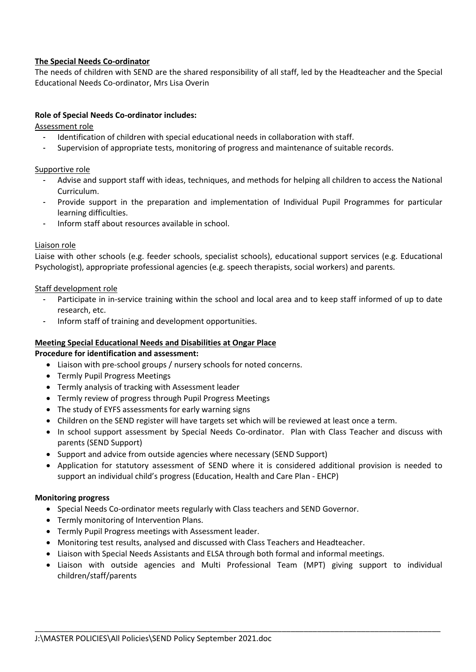# **The Special Needs Co-ordinator**

The needs of children with SEND are the shared responsibility of all staff, led by the Headteacher and the Special Educational Needs Co-ordinator, Mrs Lisa Overin

### **Role of Special Needs Co-ordinator includes:**

Assessment role

- Identification of children with special educational needs in collaboration with staff.
- Supervision of appropriate tests, monitoring of progress and maintenance of suitable records.

Supportive role

- Advise and support staff with ideas, techniques, and methods for helping all children to access the National Curriculum.
- Provide support in the preparation and implementation of Individual Pupil Programmes for particular learning difficulties.
- Inform staff about resources available in school.

### Liaison role

Liaise with other schools (e.g. feeder schools, specialist schools), educational support services (e.g. Educational Psychologist), appropriate professional agencies (e.g. speech therapists, social workers) and parents.

### Staff development role

- Participate in in-service training within the school and local area and to keep staff informed of up to date research, etc.
- Inform staff of training and development opportunities.

### **Meeting Special Educational Needs and Disabilities at Ongar Place**

**Procedure for identification and assessment:**

- Liaison with pre-school groups / nursery schools for noted concerns.
- Termly Pupil Progress Meetings
- Termly analysis of tracking with Assessment leader
- Termly review of progress through Pupil Progress Meetings
- The study of EYFS assessments for early warning signs
- Children on the SEND register will have targets set which will be reviewed at least once a term.
- In school support assessment by Special Needs Co-ordinator. Plan with Class Teacher and discuss with parents (SEND Support)
- Support and advice from outside agencies where necessary (SEND Support)
- Application for statutory assessment of SEND where it is considered additional provision is needed to support an individual child's progress (Education, Health and Care Plan - EHCP)

### **Monitoring progress**

- Special Needs Co-ordinator meets regularly with Class teachers and SEND Governor.
- Termly monitoring of Intervention Plans.
- Termly Pupil Progress meetings with Assessment leader.
- Monitoring test results, analysed and discussed with Class Teachers and Headteacher.
- Liaison with Special Needs Assistants and ELSA through both formal and informal meetings.
- Liaison with outside agencies and Multi Professional Team (MPT) giving support to individual children/staff/parents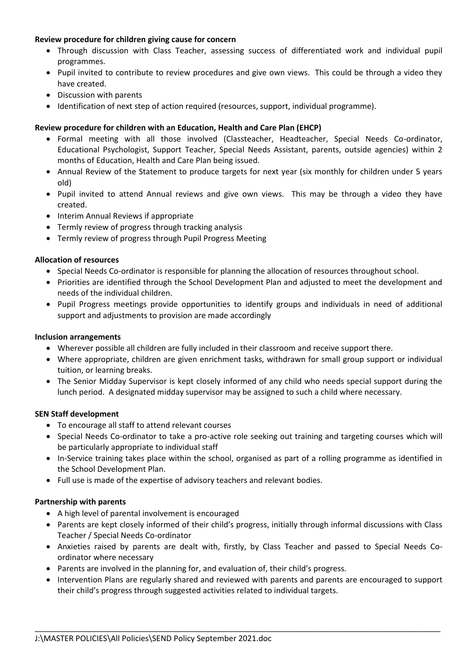## **Review procedure for children giving cause for concern**

- Through discussion with Class Teacher, assessing success of differentiated work and individual pupil programmes.
- Pupil invited to contribute to review procedures and give own views. This could be through a video they have created.
- Discussion with parents
- Identification of next step of action required (resources, support, individual programme).

## **Review procedure for children with an Education, Health and Care Plan (EHCP)**

- Formal meeting with all those involved (Classteacher, Headteacher, Special Needs Co-ordinator, Educational Psychologist, Support Teacher, Special Needs Assistant, parents, outside agencies) within 2 months of Education, Health and Care Plan being issued.
- Annual Review of the Statement to produce targets for next year (six monthly for children under 5 years old)
- Pupil invited to attend Annual reviews and give own views. This may be through a video they have created.
- Interim Annual Reviews if appropriate
- Termly review of progress through tracking analysis
- Termly review of progress through Pupil Progress Meeting

### **Allocation of resources**

- Special Needs Co-ordinator is responsible for planning the allocation of resources throughout school.
- Priorities are identified through the School Development Plan and adjusted to meet the development and needs of the individual children.
- Pupil Progress meetings provide opportunities to identify groups and individuals in need of additional support and adjustments to provision are made accordingly

### **Inclusion arrangements**

- Wherever possible all children are fully included in their classroom and receive support there.
- Where appropriate, children are given enrichment tasks, withdrawn for small group support or individual tuition, or learning breaks.
- The Senior Midday Supervisor is kept closely informed of any child who needs special support during the lunch period. A designated midday supervisor may be assigned to such a child where necessary.

### **SEN Staff development**

- To encourage all staff to attend relevant courses
- Special Needs Co-ordinator to take a pro-active role seeking out training and targeting courses which will be particularly appropriate to individual staff
- In-Service training takes place within the school, organised as part of a rolling programme as identified in the School Development Plan.
- Full use is made of the expertise of advisory teachers and relevant bodies.

### **Partnership with parents**

- A high level of parental involvement is encouraged
- Parents are kept closely informed of their child's progress, initially through informal discussions with Class Teacher / Special Needs Co-ordinator
- Anxieties raised by parents are dealt with, firstly, by Class Teacher and passed to Special Needs Coordinator where necessary
- Parents are involved in the planning for, and evaluation of, their child's progress.
- Intervention Plans are regularly shared and reviewed with parents and parents are encouraged to support their child's progress through suggested activities related to individual targets.